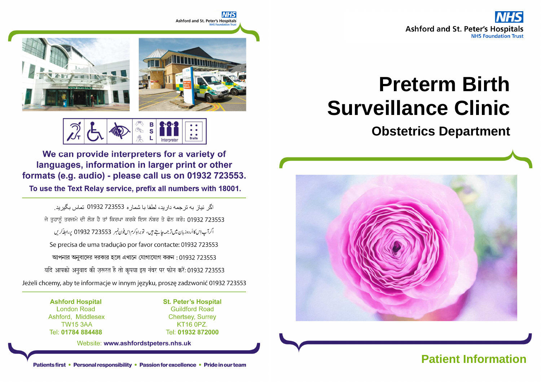



**Braille** 

We can provide interpreters for a variety of languages, information in larger print or other formats (e.g. audio) - please call us on 01932 723553.

To use the Text Relay service, prefix all numbers with 18001.

اگر نباز به تر جمه دار بد، لطفا با شمار ه 723553 01932 تماس بگیر بد. ਜੇ ਤੁਹਾਨੂੰ ਤਰਜਮੇ ਦੀ ਲੋੜ ਹੈ ਤਾਂ ਕਿਰਪਾ ਕਰਕੇ ਇਸ ਨੰਬਰ ਤੇ ਫੋਨ ਕਰੋ: 01932 723553 اگرآپ اِسكا أردوز بان ميں تر جمہ جاجتے ہيں، توبراہ كرم اِس فون نمبر 723553 01932 پر ابط كريں Se precisa de uma tradução por favor contacte: 01932 723553 আপনার অনুবাদের দরকার হলে এখানে যোগাযোগ করুন : 01932 723553 यदि आपको अनुवाद की ज़रूरत है तो कृपया इस नंबर पर फोन करें: 01932 723553 Jeżeli chcemy, aby te informacje w innym języku, proszę zadzwonić 01932 723553

> **Ashford Hospital London Road** Ashford, Middlesex **TW15 3AA** Tel: 01784 884488

**St. Peter's Hospital Guildford Road Chertsey, Surrey** KT16 0PZ. Tel: 01932 872000

Website: www.ashfordstpeters.nhs.uk

# **Preterm Birth Surveillance Clinic**

## **Obstetrics Department**

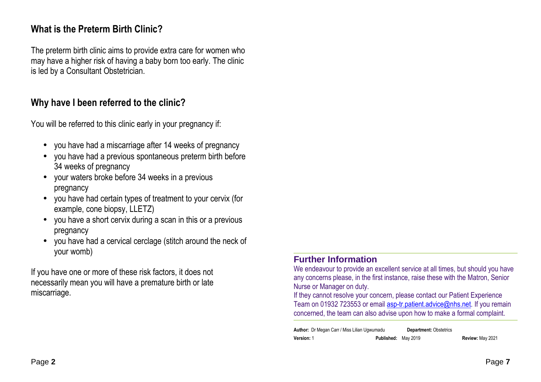#### **What is the Preterm Birth Clinic?**

The preterm birth clinic aims to provide extra care for women who may have a higher risk of having a baby born too early. The clinic is led by a Consultant Obstetrician.

#### **Why have I been referred to the clinic?**

You will be referred to this clinic early in your pregnancy if:

- you have had a miscarriage after 14 weeks of pregnancy
- you have had a previous spontaneous preterm birth before 34 weeks of pregnancy
- your waters broke before 34 weeks in a previous pregnancy
- you have had certain types of treatment to your cervix (for example, cone biopsy, LLETZ)
- you have a short cervix during a scan in this or a previous pregnancy
- you have had a cervical cerclage (stitch around the neck of your womb)

If you have one or more of these risk factors, it does not necessarily mean you will have a premature birth or late miscarriage.

#### **Further Information**

 We endeavour to provide an excellent service at all times, but should you have any concerns please, in the first instance, raise these with the Matron, Senior Nurse or Manager on duty.

 If they cannot resolve your concern, please contact our Patient Experience Team on 01932 723553 or email **asp-tr.patient.advice@nhs.net**. If you remain concerned, the team can also advise upon how to make a formal complaint.

| Author: Dr Megan Carr / Miss Lilian Ugwumadu |                            | <b>Department: Obstetrics</b> |                  |
|----------------------------------------------|----------------------------|-------------------------------|------------------|
| <b>Version: 1</b>                            | <b>Published: May 2019</b> |                               | Review: May 2021 |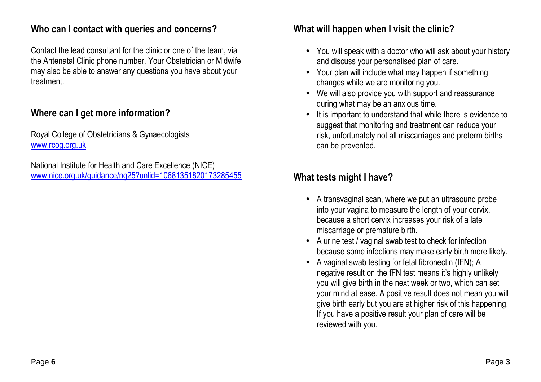#### **Who can I contact with queries and concerns?**

Contact the lead consultant for the clinic or one of the team, via the Antenatal Clinic phone number. Your Obstetrician or Midwife may also be able to answer any questions you have about your treatment.

#### **Where can I get more information?**

Royal College of Obstetricians & Gynaecologists www.rcog.org.uk

National Institute for Health and Care Excellence (NICE) www.nice.org.uk/guidance/ng25?unlid=10681351820173285455

#### **What will happen when I visit the clinic?**

- You will speak with a doctor who will ask about your history and discuss your personalised plan of care.
- Your plan will include what may happen if something changes while we are monitoring you.
- We will also provide you with support and reassurance during what may be an anxious time.
- It is important to understand that while there is evidence to suggest that monitoring and treatment can reduce your risk, unfortunately not all miscarriages and preterm births can be prevented.

### **What tests might I have?**

- A transvaginal scan, where we put an ultrasound probe into your vagina to measure the length of your cervix, because a short cervix increases your risk of a late miscarriage or premature birth.
- A urine test / vaginal swab test to check for infection because some infections may make early birth more likely.
- A vaginal swab testing for fetal fibronectin (fFN); A negative result on the fFN test means it's highly unlikely you will give birth in the next week or two, which can set your mind at ease. A positive result does not mean you will give birth early but you are at higher risk of this happening. If you have a positive result your plan of care will be reviewed with you.